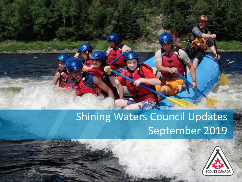# Shining Waters Council Updates September 2019

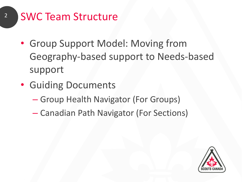- <sup>2</sup> SWC Team Structure
	- Group Support Model: Moving from Geography-based support to Needs-based support
	- Guiding Documents
		- Group Health Navigator (For Groups)
		- Canadian Path Navigator (For Sections)

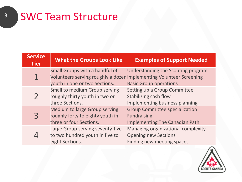3

| <b>Service</b><br><b>Tier</b> | <b>What the Groups Look Like</b>                                                                                                       | <b>Examples of Support Needed</b>                                                                    |
|-------------------------------|----------------------------------------------------------------------------------------------------------------------------------------|------------------------------------------------------------------------------------------------------|
|                               | Small Groups with a handful of<br>Volunteers serving roughly a dozen Implementing Volunteer Screening<br>youth in one or two Sections. | Understanding the Scouting program<br><b>Basic Group operations</b>                                  |
|                               | Small to medium Group serving<br>roughly thirty youth in two or<br>three Sections.                                                     | Setting up a Group Committee<br>Stabilizing cash flow<br>Implementing business planning              |
|                               | <b>Medium to large Group serving</b><br>roughly forty to eighty youth in<br>three or four Sections.                                    | <b>Group Committee specialization</b><br><b>Fundraising</b><br><b>Implementing The Canadian Path</b> |
|                               | Large Group serving seventy-five<br>to two hundred youth in five to<br>eight Sections.                                                 | Managing organizational complexity<br><b>Opening new Sections</b><br>Finding new meeting spaces      |

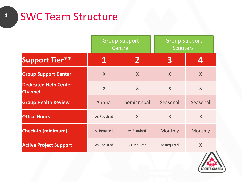## <sup>4</sup> SWC Team Structure

|                                                | <b>Group Support</b><br>Centre |                    | <b>Group Support</b><br><b>Scouters</b> |          |
|------------------------------------------------|--------------------------------|--------------------|-----------------------------------------|----------|
| <b>Support Tier**</b>                          | 1                              | $\mathbf{2}$       | 3                                       |          |
| <b>Group Support Center</b>                    | $\sf X$                        | $\sf X$            | $\mathsf{X}$                            | $\sf X$  |
| <b>Dedicated Help Center</b><br><b>Channel</b> | $\sf X$                        | $\sf X$            | $\sf X$                                 | $\sf X$  |
| <b>Group Health Review</b>                     | Annual                         | Semiannual         | Seasonal                                | Seasonal |
| <b>Office Hours</b>                            | As Required                    | $\sf X$            | $\sf X$                                 | X        |
| <b>Check-in (minimum)</b>                      | <b>As Required</b>             | <b>As Required</b> | Monthly                                 | Monthly  |
| <b>Active Project Support</b>                  | As Required                    | As Required        | As Required                             | $\sf X$  |

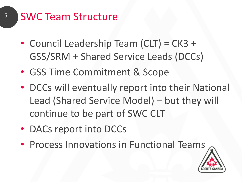- Council Leadership Team (CLT) = CK3 + GSS/SRM + Shared Service Leads (DCCs)
- GSS Time Commitment & Scope
- DCCs will eventually report into their National Lead (Shared Service Model) – but they will continue to be part of SWC CLT
- DACs report into DCCs
- Process Innovations in Functional Teams

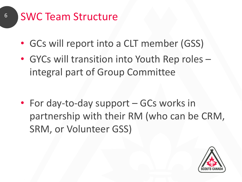- GCs will report into a CLT member (GSS)
- GYCs will transition into Youth Rep roles integral part of Group Committee

• For day-to-day support – GCs works in partnership with their RM (who can be CRM, SRM, or Volunteer GSS)

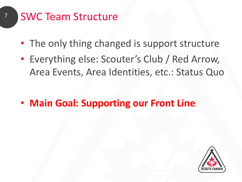- The only thing changed is support structure
- Everything else: Scouter's Club / Red Arrow, Area Events, Area Identities, etc.: Status Quo

• **Main Goal: Supporting our Front Line**

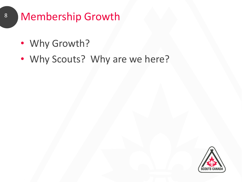### 8 Membership Growth

- Why Growth?
- Why Scouts? Why are we here?

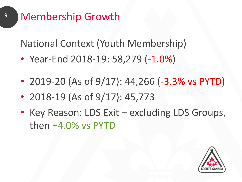### <sup>9</sup> Membership Growth

National Context (Youth Membership)

- Year-End 2018-19: 58,279 (-1.0%)
- 2019-20 (As of 9/17): 44,266 (-3.3% vs PYTD)
- 2018-19 (As of  $9/17$ ): 45,773
- Key Reason: LDS Exit excluding LDS Groups, then +4.0% vs PYTD

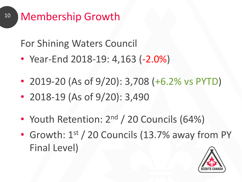### <sup>10</sup> Membership Growth

For Shining Waters Council

- Year-End 2018-19: 4,163 (-2.0%)
- 2019-20 (As of 9/20): 3,708 (+6.2% vs PYTD)
- 2018-19 (As of 9/20): 3,490
- Youth Retention: 2<sup>nd</sup> / 20 Councils (64%)
- Growth: 1<sup>st</sup> / 20 Councils (13.7% away from PY Final Level)

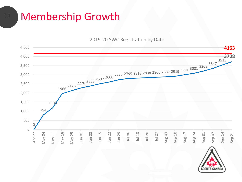#### <sup>11</sup> Membership Growth

#### 2019-20 SWC Registration by Date



**SCOUTS CANADA**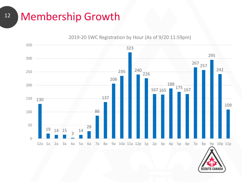#### <sup>12</sup> Membership Growth

#### 2019-20 SWC Registration by Hour (As of 9/20 11:59pm)

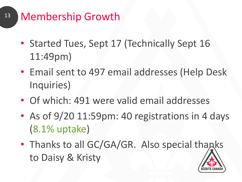- <sup>13</sup> Membership Growth
	- Started Tues, Sept 17 (Technically Sept 16 11:49pm)
	- Email sent to 497 email addresses (Help Desk Inquiries)
	- Of which: 491 were valid email addresses
	- As of 9/20 11:59pm: 40 registrations in 4 days (8.1% uptake)
	- Thanks to all GC/GA/GR. Also special thanks to Daisy & Kristy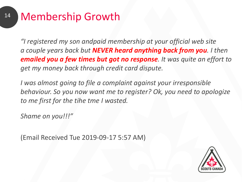#### <sup>14</sup> Membership Growth

*"I registered my son andpaid membership at your official web site a couple years back but NEVER heard anything back from you. I then emailed you a few times but got no response. It was quite an effort to get my money back through credit card dispute.* 

*I was almost going to file a complaint against your irresponsible behaviour. So you now want me to register? Ok, you need to apologize to me first for the tihe tme I wasted.*

*Shame on you!!!"*

(Email Received Tue 2019-09-17 5:57 AM)

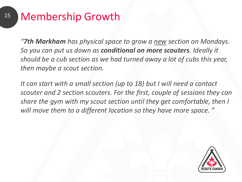#### <sup>15</sup> Membership Growth

*"7th Markham has physical space to grow a new section on Mondays. So you can put us down as conditional on more scouters. Ideally it should be a cub section as we had turned away a lot of cubs this year, then maybe a scout section.* 

*It can start with a small section (up to 18) but I will need a contact scouter and 2 section scouters. For the first, couple of sessions they can share the gym with my scout section until they get comfortable, then I will move them to a different location so they have more space. "*

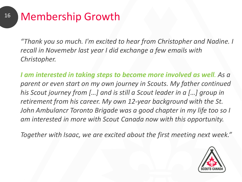#### <sup>16</sup> Membership Growth

*"Thank you so much. I'm excited to hear from Christopher and Nadine. I recall in Novemebr last year I did exchange a few emails with Christopher.*

*I am interested in taking steps to become more involved as well. As a parent or even start on my own journey in Scouts. My father continued his Scout journey from […] and is still a Scout leader in a […] group in retirement from his career. My own 12-year background with the St. John Ambulancr Toronto Brigade was a good chapter in my life too so I am interested in more with Scout Canada now with this opportunity.*

*Together with Isaac, we are excited about the first meeting next week."*